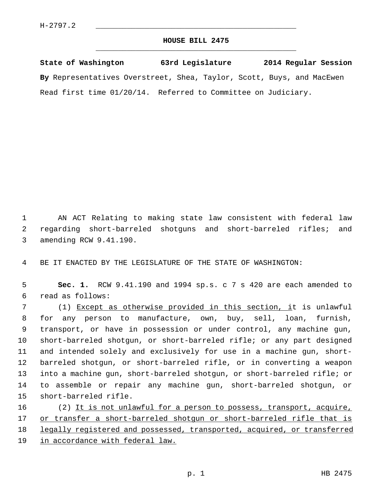## **HOUSE BILL 2475** \_\_\_\_\_\_\_\_\_\_\_\_\_\_\_\_\_\_\_\_\_\_\_\_\_\_\_\_\_\_\_\_\_\_\_\_\_\_\_\_\_\_\_\_\_

**State of Washington 63rd Legislature 2014 Regular Session By** Representatives Overstreet, Shea, Taylor, Scott, Buys, and MacEwen Read first time 01/20/14. Referred to Committee on Judiciary.

 1 AN ACT Relating to making state law consistent with federal law 2 regarding short-barreled shotguns and short-barreled rifles; and 3 amending RCW 9.41.190.

4 BE IT ENACTED BY THE LEGISLATURE OF THE STATE OF WASHINGTON:

 5 **Sec. 1.** RCW 9.41.190 and 1994 sp.s. c 7 s 420 are each amended to 6 read as follows:

 7 (1) Except as otherwise provided in this section, it is unlawful 8 for any person to manufacture, own, buy, sell, loan, furnish, 9 transport, or have in possession or under control, any machine gun, 10 short-barreled shotgun, or short-barreled rifle; or any part designed 11 and intended solely and exclusively for use in a machine gun, short-12 barreled shotgun, or short-barreled rifle, or in converting a weapon 13 into a machine gun, short-barreled shotgun, or short-barreled rifle; or 14 to assemble or repair any machine gun, short-barreled shotgun, or 15 short-barreled rifle.

16 (2) It is not unlawful for a person to possess, transport, acquire, 17 or transfer a short-barreled shotgun or short-barreled rifle that is 18 legally registered and possessed, transported, acquired, or transferred 19 in accordance with federal law.